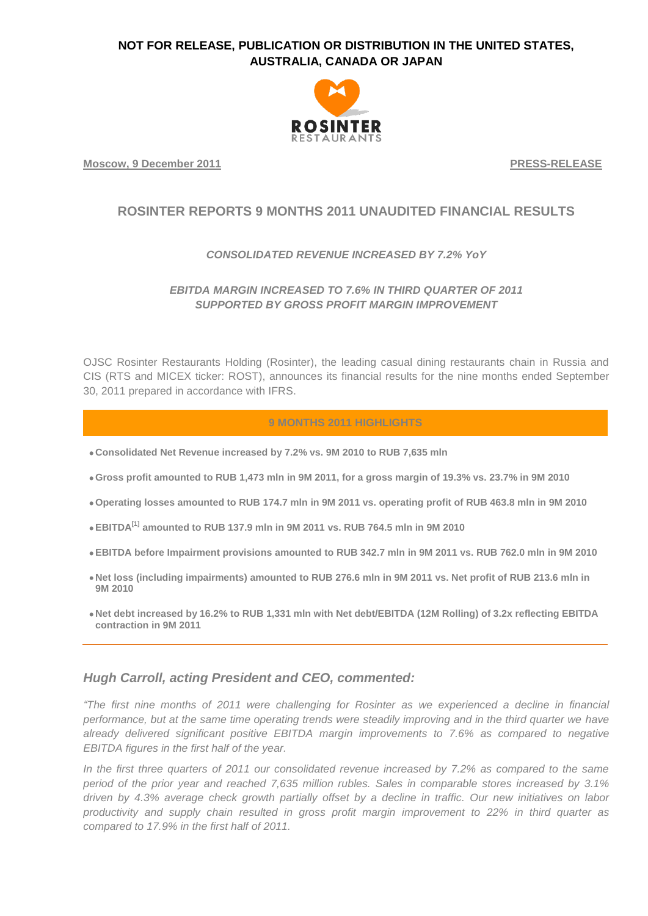

**Moscow, 9 December 2011 PRESS-RELEASE**

# **ROSINTER REPORTS 9 MONTHS 2011 UNAUDITED FINANCIAL RESULTS**

### *CONSOLIDATED REVENUE INCREASED BY 7.2% YoY*

## *EBITDA MARGIN INCREASED TO 7.6% IN THIRD QUARTER OF 2011 SUPPORTED BY GROSS PROFIT MARGIN IMPROVEMENT*

OJSC Rosinter Restaurants Holding (Rosinter), the leading casual dining restaurants chain in Russia and CIS (RTS and MICEX ticker: ROST), announces its financial results for the nine months ended September 30, 2011 prepared in accordance with IFRS.

### **9 MONTHS 2011 HIGHLIGHTS**

- **Consolidated Net Revenue increased by 7.2% vs. 9M 2010 to RUB 7,635 mln**
- **Gross profit amounted to RUB 1,473 mln in 9M 2011, for a gross margin of 19.3% vs. 23.7% in 9M 2010**
- **Operating losses amounted to RUB 174.7 mln in 9M 2011 vs. operating profit of RUB 463.8 mln in 9M 2010**
- **EBITDA[1] amounted to RUB 137.9 mln in 9M 2011 vs. RUB 764.5 mln in 9M 2010**
- **EBITDA before Impairment provisions amounted to RUB 342.7 mln in 9M 2011 vs. RUB 762.0 mln in 9M 2010**
- **Net loss (including impairments) amounted to RUB 276.6 mln in 9M 2011 vs. Net profit of RUB 213.6 mln in 9M 2010**
- **Net debt increased by 16.2% to RUB 1,331 mln with Net debt/EBITDA (12M Rolling) of 3.2x reflecting EBITDA contraction in 9M 2011**

# *Hugh Carroll, acting President and CEO, commented:*

*"The first nine months of 2011 were challenging for Rosinter as we experienced a decline in financial performance, but at the same time operating trends were steadily improving and in the third quarter we have already delivered significant positive EBITDA margin improvements to 7.6% as compared to negative EBITDA figures in the first half of the year.*

*In the first three quarters of 2011 our consolidated revenue increased by 7.2% as compared to the same period of the prior year and reached 7,635 million rubles. Sales in comparable stores increased by 3.1% driven by 4.3% average check growth partially offset by a decline in traffic. Our new initiatives on labor productivity and supply chain resulted in gross profit margin improvement to 22% in third quarter as compared to 17.9% in the first half of 2011.*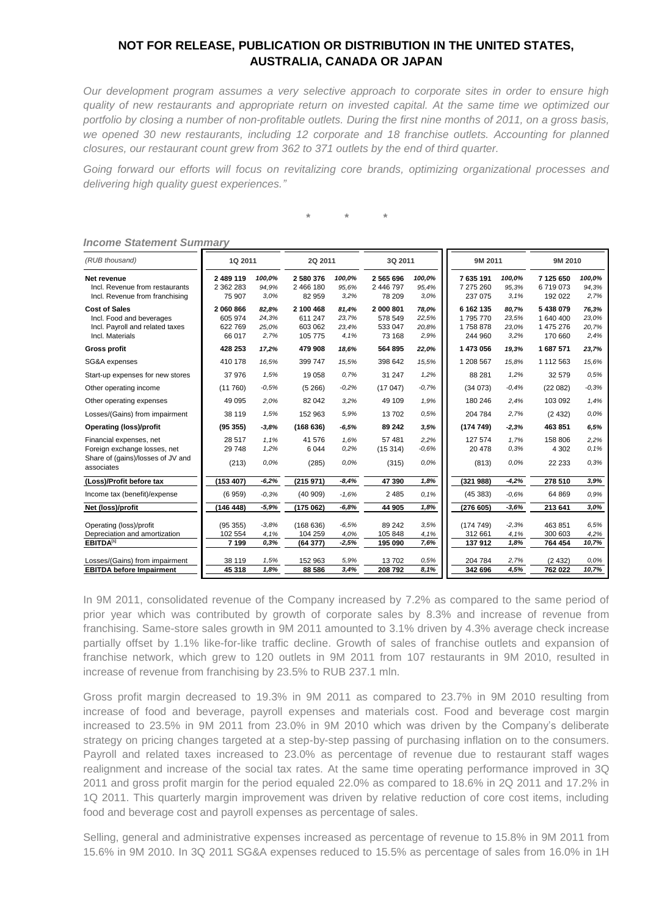*Our development program assumes a very selective approach to corporate sites in order to ensure high quality of new restaurants and appropriate return on invested capital. At the same time we optimized our portfolio by closing a number of non-profitable outlets. During the first nine months of 2011, on a gross basis, we opened 30 new restaurants, including 12 corporate and 18 franchise outlets. Accounting for planned closures, our restaurant count grew from 362 to 371 outlets by the end of third quarter.*

*Going forward our efforts will focus on revitalizing core brands, optimizing organizational processes and delivering high quality guest experiences."*

*\* \* \**

| (RUB thousand)                                                                                             | 1Q 2011                                  |                                 | 2Q 2011                                    |                                 | 3Q 2011                                   |                                 | 9M 2011                                    |                                 | 9M 2010                                      |                                 |
|------------------------------------------------------------------------------------------------------------|------------------------------------------|---------------------------------|--------------------------------------------|---------------------------------|-------------------------------------------|---------------------------------|--------------------------------------------|---------------------------------|----------------------------------------------|---------------------------------|
| Net revenue<br>Incl. Revenue from restaurants<br>Incl. Revenue from franchising                            | 2 489 119<br>2 362 283<br>75 907         | 100,0%<br>94,9%<br>3.0%         | 2 580 376<br>2 466 180<br>82 959           | 100,0%<br>95,6%<br>3.2%         | 2 5 6 5 6 9 6<br>2 446 797<br>78 209      | 100,0%<br>95,4%<br>3.0%         | 7 635 191<br>7 275 260<br>237 075          | 100,0%<br>95,3%<br>3.1%         | 7 125 650<br>6719073<br>192 022              | 100,0%<br>94,3%<br>2,7%         |
| <b>Cost of Sales</b><br>Incl. Food and beverages<br>Incl. Payroll and related taxes<br>Incl. Materials     | 2 060 866<br>605 974<br>622769<br>66 017 | 82,8%<br>24,3%<br>25,0%<br>2.7% | 2 100 468<br>611 247<br>603 062<br>105 775 | 81,4%<br>23,7%<br>23,4%<br>4,1% | 2 000 801<br>578 549<br>533 047<br>73 168 | 78,0%<br>22,5%<br>20,8%<br>2,9% | 6 162 135<br>1795770<br>1758878<br>244 960 | 80,7%<br>23,5%<br>23,0%<br>3.2% | 5438079<br>1 640 400<br>1 475 276<br>170 660 | 76,3%<br>23,0%<br>20,7%<br>2.4% |
| <b>Gross profit</b>                                                                                        | 428 253                                  | 17,2%                           | 479 908                                    | 18,6%                           | 564 895                                   | 22,0%                           | 1473056                                    | 19,3%                           | 1687571                                      | 23,7%                           |
| SG&A expenses                                                                                              | 410 178                                  | 16,5%                           | 399 747                                    | 15,5%                           | 398 642                                   | 15,5%                           | 1 208 567                                  | 15,8%                           | 1 112 563                                    | 15,6%                           |
| Start-up expenses for new stores                                                                           | 37 976                                   | 1,5%                            | 19 058                                     | 0.7%                            | 31 247                                    | 1,2%                            | 88 281                                     | 1,2%                            | 32 579                                       | 0,5%                            |
| Other operating income                                                                                     | (11760)                                  | $-0.5%$                         | (5266)                                     | $-0.2%$                         | (17047)                                   | $-0.7%$                         | (34073)                                    | $-0.4%$                         | (22082)                                      | $-0.3%$                         |
| Other operating expenses                                                                                   | 49 0 95                                  | 2,0%                            | 82 042                                     | 3.2%                            | 49 109                                    | 1,9%                            | 180 246                                    | 2,4%                            | 103 092                                      | 1,4%                            |
| Losses/(Gains) from impairment                                                                             | 38 119                                   | 1,5%                            | 152 963                                    | 5,9%                            | 13702                                     | 0.5%                            | 204 784                                    | 2,7%                            | (2432)                                       | 0.0%                            |
| <b>Operating (loss)/profit</b>                                                                             | (95355)                                  | $-3.8%$                         | (168636)                                   | $-6,5%$                         | 89 24 2                                   | 3.5%                            | (174749)                                   | $-2,3%$                         | 463 851                                      | 6,5%                            |
| Financial expenses, net<br>Foreign exchange losses, net<br>Share of (gains)/losses of JV and<br>associates | 28 5 17<br>29 748<br>(213)               | 1,1%<br>1,2%<br>0.0%            | 41 576<br>6 0 4 4<br>(285)                 | 1,6%<br>0.2%<br>0.0%            | 57 481<br>(15314)<br>(315)                | 2,2%<br>$-0.6%$<br>0.0%         | 127 574<br>20 478<br>(813)                 | 1,7%<br>0.3%<br>0.0%            | 158 806<br>4 3 0 2<br>22 233                 | 2,2%<br>0.1%<br>0.3%            |
| (Loss)/Profit before tax                                                                                   | (153 407)                                | $-6,2%$                         | (215971)                                   | $-8,4%$                         | 47 390                                    | 1,8%                            | (321988)                                   | $-4,2%$                         | 278 510                                      | 3,9%                            |
| Income tax (benefit)/expense                                                                               | (6959)                                   | $-0.3%$                         | (40909)                                    | $-1.6%$                         | 2 4 8 5                                   | 0.1%                            | (45383)                                    | $-0,6%$                         | 64 869                                       | 0.9%                            |
| Net (loss)/profit                                                                                          | (146 448)                                | $-5.9%$                         | (175062)                                   | $-6,8%$                         | 44 905                                    | 1,8%                            | (276 605)                                  | $-3.6%$                         | 213 641                                      | 3.0%                            |
| Operating (loss)/profit<br>Depreciation and amortization<br>EBITDA <sup>[1]</sup>                          | (95355)<br>102 554<br>7 1 9 9            | $-3.8%$<br>4,1%<br>0.3%         | (168636)<br>104 259<br>(64377)             | $-6,5%$<br>4,0%<br>$-2,5%$      | 89 24 2<br>105 848<br>195 090             | 3.5%<br>4,1%<br>7,6%            | (174749)<br>312 661<br>137912              | $-2,3%$<br>4,1%<br>1,8%         | 463 851<br>300 603<br>764 454                | 6.5%<br>4,2%<br>10,7%           |
| Losses/(Gains) from impairment<br><b>EBITDA before Impairment</b>                                          | 38 119<br>45 318                         | 1,5%<br>1,8%                    | 152 963<br>88 586                          | 5,9%<br>3,4%                    | 13702<br>208 792                          | 0,5%<br>8,1%                    | 204 784<br>342 696                         | 2,7%<br>4,5%                    | (2432)<br>762 022                            | 0,0%<br>10,7%                   |

#### *Income Statement Summary*

In 9M 2011, consolidated revenue of the Company increased by 7.2% as compared to the same period of prior year which was contributed by growth of corporate sales by 8.3% and increase of revenue from franchising. Same-store sales growth in 9M 2011 amounted to 3.1% driven by 4.3% average check increase partially offset by 1.1% like-for-like traffic decline. Growth of sales of franchise outlets and expansion of franchise network, which grew to 120 outlets in 9M 2011 from 107 restaurants in 9M 2010, resulted in increase of revenue from franchising by 23.5% to RUB 237.1 mln.

Gross profit margin decreased to 19.3% in 9M 2011 as compared to 23.7% in 9M 2010 resulting from increase of food and beverage, payroll expenses and materials cost. Food and beverage cost margin increased to 23.5% in 9M 2011 from 23.0% in 9M 2010 which was driven by the Company's deliberate strategy on pricing changes targeted at a step-by-step passing of purchasing inflation on to the consumers. Payroll and related taxes increased to 23.0% as percentage of revenue due to restaurant staff wages realignment and increase of the social tax rates. At the same time operating performance improved in 3Q 2011 and gross profit margin for the period equaled 22.0% as compared to 18.6% in 2Q 2011 and 17.2% in 1Q 2011. This quarterly margin improvement was driven by relative reduction of core cost items, including food and beverage cost and payroll expenses as percentage of sales.

Selling, general and administrative expenses increased as percentage of revenue to 15.8% in 9M 2011 from 15.6% in 9M 2010. In 3Q 2011 SG&A expenses reduced to 15.5% as percentage of sales from 16.0% in 1H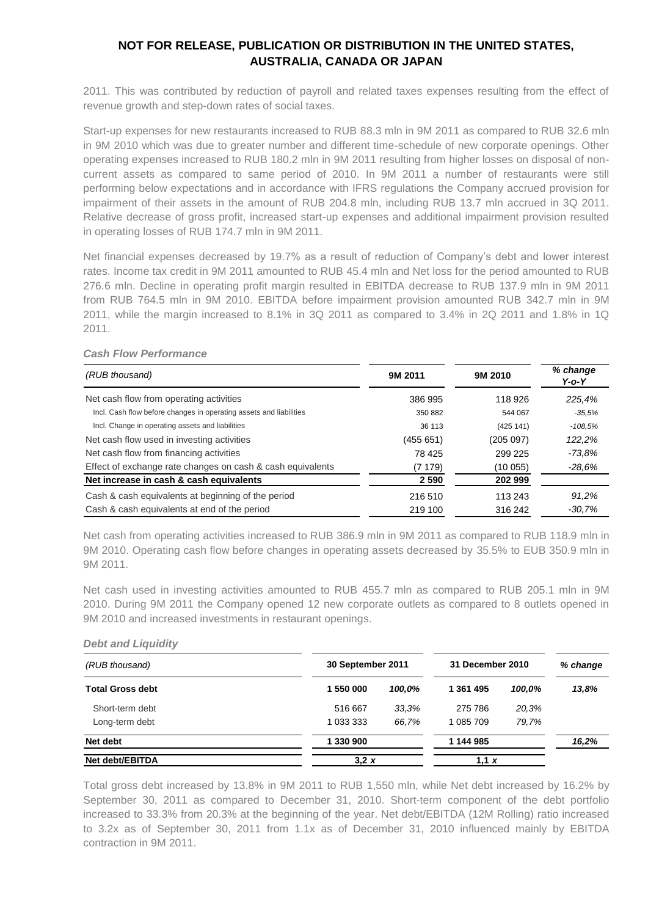2011. This was contributed by reduction of payroll and related taxes expenses resulting from the effect of revenue growth and step-down rates of social taxes.

Start-up expenses for new restaurants increased to RUB 88.3 mln in 9M 2011 as compared to RUB 32.6 mln in 9M 2010 which was due to greater number and different time-schedule of new corporate openings. Other operating expenses increased to RUB 180.2 mln in 9M 2011 resulting from higher losses on disposal of noncurrent assets as compared to same period of 2010. In 9M 2011 a number of restaurants were still performing below expectations and in accordance with IFRS regulations the Company accrued provision for impairment of their assets in the amount of RUB 204.8 mln, including RUB 13.7 mln accrued in 3Q 2011. Relative decrease of gross profit, increased start-up expenses and additional impairment provision resulted in operating losses of RUB 174.7 mln in 9M 2011.

Net financial expenses decreased by 19.7% as a result of reduction of Company's debt and lower interest rates. Income tax credit in 9M 2011 amounted to RUB 45.4 mln and Net loss for the period amounted to RUB 276.6 mln. Decline in operating profit margin resulted in EBITDA decrease to RUB 137.9 mln in 9M 2011 from RUB 764.5 mln in 9M 2010. EBITDA before impairment provision amounted RUB 342.7 mln in 9M 2011, while the margin increased to 8.1% in 3Q 2011 as compared to 3.4% in 2Q 2011 and 1.8% in 1Q 2011.

| (RUB thousand)                                                     | 9M 2011   | 9M 2010   | % change<br>$Y$ -o- $Y$ |
|--------------------------------------------------------------------|-----------|-----------|-------------------------|
| Net cash flow from operating activities                            | 386 995   | 118 926   | 225,4%                  |
| Incl. Cash flow before changes in operating assets and liabilities | 350 882   | 544 067   | $-35.5%$                |
| Incl. Change in operating assets and liabilities                   | 36 113    | (425 141) | -108,5%                 |
| Net cash flow used in investing activities                         | (455 651) | (205097)  | 122,2%                  |
| Net cash flow from financing activities                            | 78 4 25   | 299 225   | -73.8%                  |
| Effect of exchange rate changes on cash & cash equivalents         | (7 179)   | (10 055)  | $-28.6%$                |
| Net increase in cash & cash equivalents                            | 2 5 9 0   | 202 999   |                         |
| Cash & cash equivalents at beginning of the period                 | 216 510   | 113 243   | 91.2%                   |
| Cash & cash equivalents at end of the period                       | 219 100   | 316 242   | $-30.7%$                |

#### *Cash Flow Performance*

Net cash from operating activities increased to RUB 386.9 mln in 9M 2011 as compared to RUB 118.9 mln in 9M 2010. Operating cash flow before changes in operating assets decreased by 35.5% to EUB 350.9 mln in 9M 2011.

Net cash used in investing activities amounted to RUB 455.7 mln as compared to RUB 205.1 mln in 9M 2010. During 9M 2011 the Company opened 12 new corporate outlets as compared to 8 outlets opened in 9M 2010 and increased investments in restaurant openings.

#### *Debt and Liquidity*

| (RUB thousand)          | 30 September 2011 |        | 31 December 2010 |        | % change |
|-------------------------|-------------------|--------|------------------|--------|----------|
| <b>Total Gross debt</b> | 1 550 000         | 100.0% | 1 361 495        | 100.0% | 13,8%    |
| Short-term debt         | 516 667           | 33,3%  | 275 786          | 20,3%  |          |
| Long-term debt          | 1 033 333         | 66.7%  | 1 085 709        | 79,7%  |          |
| Net debt                | 1 330 900         |        | 1 144 985        |        | 16,2%    |
| Net debt/EBITDA         | 3.2 x             |        | 1.1 $x$          |        |          |

Total gross debt increased by 13.8% in 9M 2011 to RUB 1,550 mln, while Net debt increased by 16.2% by September 30, 2011 as compared to December 31, 2010. Short-term component of the debt portfolio increased to 33.3% from 20.3% at the beginning of the year. Net debt/EBITDA (12M Rolling) ratio increased to 3.2x as of September 30, 2011 from 1.1x as of December 31, 2010 influenced mainly by EBITDA contraction in 9M 2011.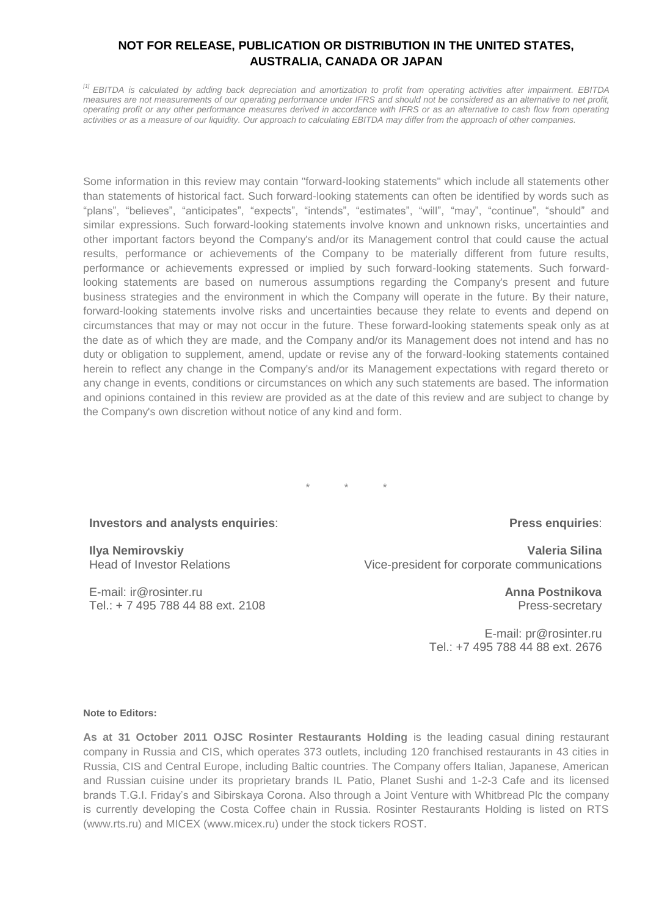*[1] EBITDA is calculated by adding back depreciation and amortization to profit from operating activities after impairment. EBITDA measures are not measurements of our operating performance under IFRS and should not be considered as an alternative to net profit, operating profit or any other performance measures derived in accordance with IFRS or as an alternative to cash flow from operating activities or as a measure of our liquidity. Our approach to calculating EBITDA may differ from the approach of other companies.*

Some information in this review may contain "forward-looking statements" which include all statements other than statements of historical fact. Such forward-looking statements can often be identified by words such as "plans", "believes", "anticipates", "expects", "intends", "estimates", "will", "may", "continue", "should" and similar expressions. Such forward-looking statements involve known and unknown risks, uncertainties and other important factors beyond the Company's and/or its Management control that could cause the actual results, performance or achievements of the Company to be materially different from future results, performance or achievements expressed or implied by such forward-looking statements. Such forwardlooking statements are based on numerous assumptions regarding the Company's present and future business strategies and the environment in which the Company will operate in the future. By their nature, forward-looking statements involve risks and uncertainties because they relate to events and depend on circumstances that may or may not occur in the future. These forward-looking statements speak only as at the date as of which they are made, and the Company and/or its Management does not intend and has no duty or obligation to supplement, amend, update or revise any of the forward-looking statements contained herein to reflect any change in the Company's and/or its Management expectations with regard thereto or any change in events, conditions or circumstances on which any such statements are based. The information and opinions contained in this review are provided as at the date of this review and are subject to change by the Company's own discretion without notice of any kind and form.

\* \* \*

### **Press enquiries**:

**Ilya Nemirovskiy** Head of Investor Relations

E-mail: [ir@rosinter.ru](mailto:ir@rosinter.ru) Tel.: + 7 495 788 44 88 ext. 2108

**Investors and analysts enquiries**:

**Valeria Silina** Vice-president for corporate communications

> **Anna Postnikova** Press-secretary

E-mail: [pr@rosinter.ru](mailto:pr@rosinter.ru) Tel.: +7 495 788 44 88 ext. 2676

#### **Note to Editors:**

**As at 31 October 2011 OJSC Rosinter Restaurants Holding** is the leading casual dining restaurant company in Russia and CIS, which operates 373 outlets, including 120 franchised restaurants in 43 cities in Russia, CIS and Central Europe, including Baltic countries. The Company offers Italian, Japanese, American and Russian cuisine under its proprietary brands IL Patio, Planet Sushi and 1-2-3 Cafe and its licensed brands T.G.I. Friday's and Sibirskaya Corona. Also through a Joint Venture with Whitbread Plc the company is currently developing the Costa Coffee chain in Russia. Rosinter Restaurants Holding is listed on RTS [\(www.rts.ru\)](http://www.rts.ru/) and MICEX [\(www.micex.ru\)](http://www.micex.ru/) under the stock tickers ROST.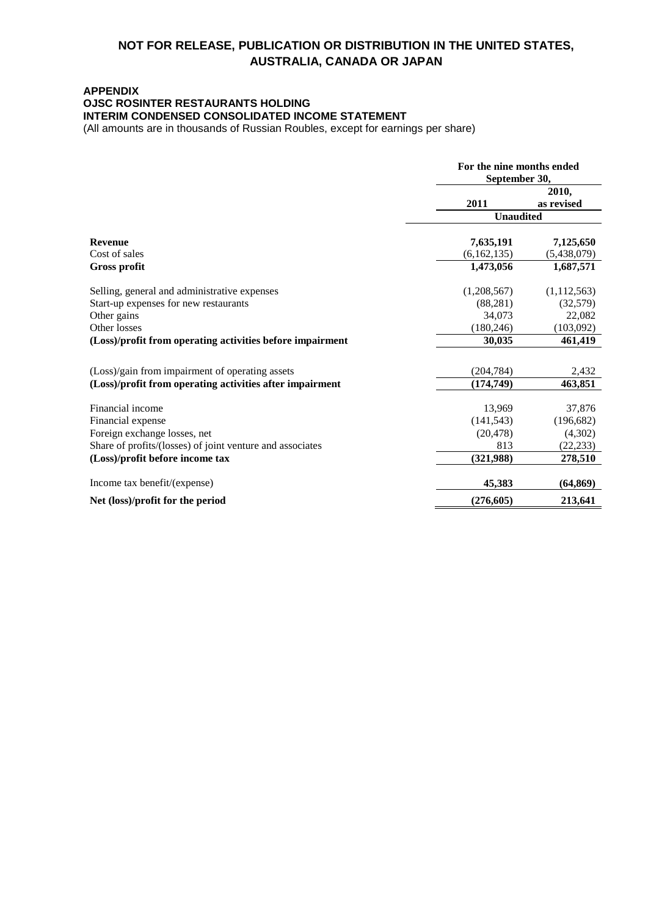### **APPENDIX OJSC ROSINTER RESTAURANTS HOLDING INTERIM CONDENSED CONSOLIDATED INCOME STATEMENT**

(All amounts are in thousands of Russian Roubles, except for earnings per share)

|                                                           | For the nine months ended<br>September 30, |                     |  |
|-----------------------------------------------------------|--------------------------------------------|---------------------|--|
|                                                           | 2011                                       | 2010,<br>as revised |  |
|                                                           | <b>Unaudited</b>                           |                     |  |
| <b>Revenue</b>                                            | 7,635,191                                  | 7,125,650           |  |
| Cost of sales                                             | (6,162,135)                                | (5,438,079)         |  |
| <b>Gross profit</b>                                       | 1,473,056                                  | 1,687,571           |  |
| Selling, general and administrative expenses              | (1,208,567)                                | (1,112,563)         |  |
| Start-up expenses for new restaurants                     | (88, 281)                                  | (32,579)            |  |
| Other gains                                               | 34,073                                     | 22,082              |  |
| Other losses                                              | (180, 246)                                 | (103,092)           |  |
| (Loss)/profit from operating activities before impairment | 30,035                                     | 461,419             |  |
| (Loss)/gain from impairment of operating assets           | (204, 784)                                 | 2,432               |  |
| (Loss)/profit from operating activities after impairment  | (174, 749)                                 | 463,851             |  |
| Financial income                                          | 13,969                                     | 37,876              |  |
| Financial expense                                         | (141, 543)                                 | (196, 682)          |  |
| Foreign exchange losses, net                              | (20, 478)                                  | (4,302)             |  |
| Share of profits/(losses) of joint venture and associates | 813                                        | (22, 233)           |  |
| (Loss)/profit before income tax                           | (321,988)                                  | 278,510             |  |
| Income tax benefit/(expense)                              | 45,383                                     | (64, 869)           |  |
| Net (loss)/profit for the period                          | (276, 605)                                 | 213,641             |  |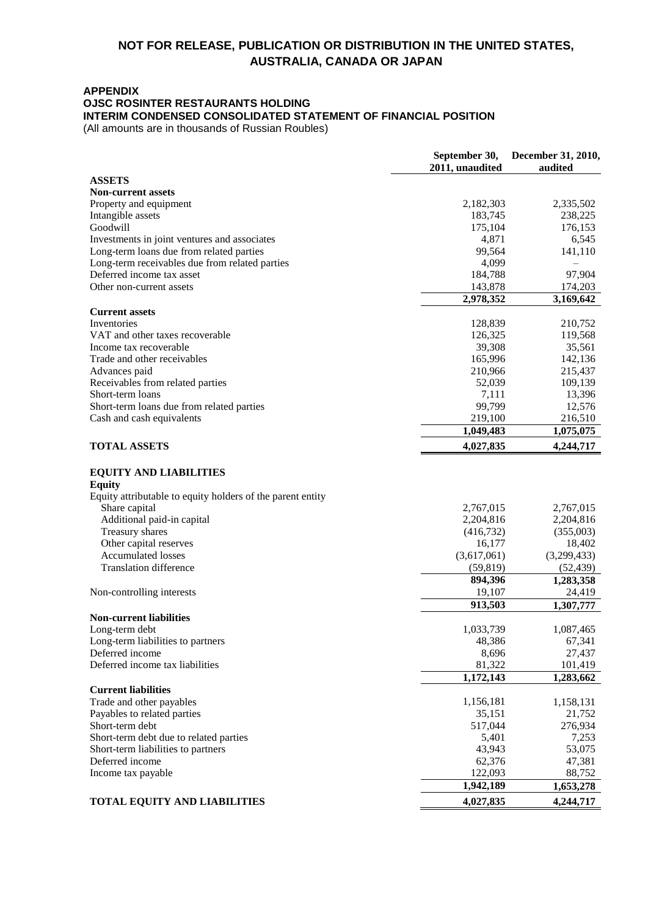### **APPENDIX**

### **OJSC ROSINTER RESTAURANTS HOLDING**

# **INTERIM CONDENSED CONSOLIDATED STATEMENT OF FINANCIAL POSITION**

(All amounts are in thousands of Russian Roubles)

|                                                            | September 30,<br>2011, unaudited | December 31, 2010,<br>audited |
|------------------------------------------------------------|----------------------------------|-------------------------------|
| <b>ASSETS</b>                                              |                                  |                               |
| <b>Non-current assets</b>                                  |                                  |                               |
| Property and equipment                                     | 2,182,303                        | 2,335,502                     |
| Intangible assets                                          | 183,745                          | 238,225                       |
| Goodwill                                                   | 175,104                          | 176,153                       |
| Investments in joint ventures and associates               | 4,871                            | 6,545                         |
| Long-term loans due from related parties                   | 99,564                           | 141,110                       |
| Long-term receivables due from related parties             | 4,099                            |                               |
| Deferred income tax asset                                  | 184,788                          | 97,904                        |
| Other non-current assets                                   | 143,878                          | 174,203                       |
|                                                            | 2,978,352                        | 3,169,642                     |
| <b>Current assets</b>                                      |                                  |                               |
| Inventories                                                | 128,839                          | 210,752                       |
| VAT and other taxes recoverable                            | 126,325                          | 119,568                       |
| Income tax recoverable<br>Trade and other receivables      | 39,308                           | 35,561                        |
|                                                            | 165,996<br>210,966               | 142,136                       |
| Advances paid                                              |                                  | 215,437<br>109,139            |
| Receivables from related parties<br>Short-term loans       | 52,039                           | 13,396                        |
| Short-term loans due from related parties                  | 7,111<br>99,799                  | 12,576                        |
| Cash and cash equivalents                                  | 219,100                          | 216,510                       |
|                                                            | 1,049,483                        | 1,075,075                     |
| <b>TOTAL ASSETS</b>                                        | 4,027,835                        | 4,244,717                     |
|                                                            |                                  |                               |
| <b>EQUITY AND LIABILITIES</b>                              |                                  |                               |
| <b>Equity</b>                                              |                                  |                               |
| Equity attributable to equity holders of the parent entity |                                  |                               |
| Share capital                                              | 2,767,015                        | 2,767,015                     |
| Additional paid-in capital                                 | 2,204,816                        | 2,204,816                     |
| Treasury shares                                            | (416,732)                        | (355,003)                     |
| Other capital reserves                                     | 16,177                           | 18,402                        |
| <b>Accumulated losses</b>                                  | (3,617,061)                      | (3,299,433)                   |
| <b>Translation difference</b>                              | (59, 819)                        | (52, 439)                     |
|                                                            | 894,396                          | 1,283,358                     |
| Non-controlling interests                                  | 19,107                           | 24,419                        |
|                                                            | 913,503                          | 1,307,777                     |
| <b>Non-current liabilities</b>                             |                                  |                               |
| Long-term debt                                             | 1,033,739                        | 1,087,465                     |
| Long-term liabilities to partners                          | 48,386                           | 67,341                        |
| Deferred income                                            | 8,696                            | 27,437                        |
| Deferred income tax liabilities                            | 81,322                           | 101,419                       |
|                                                            | 1,172,143                        | 1,283,662                     |
| <b>Current liabilities</b>                                 |                                  |                               |
| Trade and other payables                                   | 1,156,181                        | 1,158,131                     |
| Payables to related parties                                | 35,151                           | 21,752                        |
| Short-term debt                                            | 517,044                          | 276,934                       |
| Short-term debt due to related parties                     | 5,401                            | 7,253                         |
| Short-term liabilities to partners                         | 43,943                           | 53,075                        |
| Deferred income                                            | 62,376                           | 47,381                        |
| Income tax payable                                         | 122,093                          | 88,752                        |
|                                                            | 1,942,189                        | 1,653,278                     |
| <b>TOTAL EQUITY AND LIABILITIES</b>                        | 4,027,835                        | 4,244,717                     |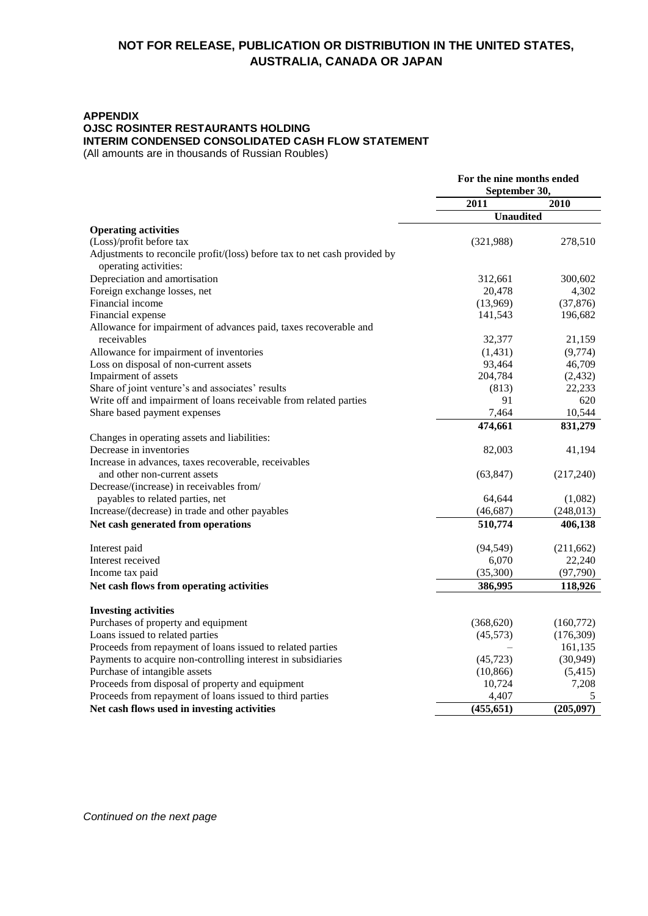#### **APPENDIX**

**OJSC ROSINTER RESTAURANTS HOLDING** 

#### **INTERIM CONDENSED CONSOLIDATED CASH FLOW STATEMENT**

(All amounts are in thousands of Russian Roubles)

|                                                                                                    | For the nine months ended |            |
|----------------------------------------------------------------------------------------------------|---------------------------|------------|
|                                                                                                    | September 30,             |            |
|                                                                                                    | 2011                      | 2010       |
|                                                                                                    | <b>Unaudited</b>          |            |
| <b>Operating activities</b>                                                                        |                           |            |
| (Loss)/profit before tax                                                                           | (321,988)                 | 278,510    |
| Adjustments to reconcile profit/(loss) before tax to net cash provided by<br>operating activities: |                           |            |
| Depreciation and amortisation                                                                      | 312,661                   | 300,602    |
| Foreign exchange losses, net                                                                       | 20,478                    | 4,302      |
| Financial income                                                                                   | (13,969)                  | (37, 876)  |
| Financial expense                                                                                  | 141,543                   | 196,682    |
| Allowance for impairment of advances paid, taxes recoverable and                                   |                           |            |
| receivables                                                                                        | 32,377                    | 21,159     |
| Allowance for impairment of inventories                                                            | (1, 431)                  | (9,774)    |
| Loss on disposal of non-current assets                                                             | 93,464                    | 46,709     |
| Impairment of assets                                                                               | 204,784                   | (2, 432)   |
| Share of joint venture's and associates' results                                                   | (813)                     | 22,233     |
| Write off and impairment of loans receivable from related parties                                  | 91                        | 620        |
| Share based payment expenses                                                                       | 7,464                     | 10,544     |
|                                                                                                    | 474,661                   | 831,279    |
| Changes in operating assets and liabilities:                                                       |                           |            |
| Decrease in inventories                                                                            | 82,003                    | 41,194     |
| Increase in advances, taxes recoverable, receivables                                               |                           |            |
| and other non-current assets                                                                       | (63, 847)                 | (217,240)  |
| Decrease/(increase) in receivables from/                                                           |                           |            |
| payables to related parties, net                                                                   | 64,644                    | (1,082)    |
| Increase/(decrease) in trade and other payables                                                    | (46, 687)                 | (248, 013) |
| Net cash generated from operations                                                                 | 510,774                   | 406,138    |
| Interest paid                                                                                      | (94, 549)                 | (211, 662) |
| Interest received                                                                                  | 6,070                     | 22,240     |
| Income tax paid                                                                                    | (35,300)                  | (97, 790)  |
| Net cash flows from operating activities                                                           | 386,995                   | 118,926    |
| <b>Investing activities</b>                                                                        |                           |            |
| Purchases of property and equipment                                                                | (368, 620)                | (160,772)  |
| Loans issued to related parties                                                                    | (45, 573)                 | (176,309)  |
| Proceeds from repayment of loans issued to related parties                                         |                           | 161,135    |
| Payments to acquire non-controlling interest in subsidiaries                                       | (45, 723)                 | (30, 949)  |
| Purchase of intangible assets                                                                      | (10, 866)                 | (5,415)    |
| Proceeds from disposal of property and equipment                                                   | 10,724                    | 7,208      |
| Proceeds from repayment of loans issued to third parties                                           | 4,407                     | 5          |
| Net cash flows used in investing activities                                                        | (455, 651)                | (205,097)  |